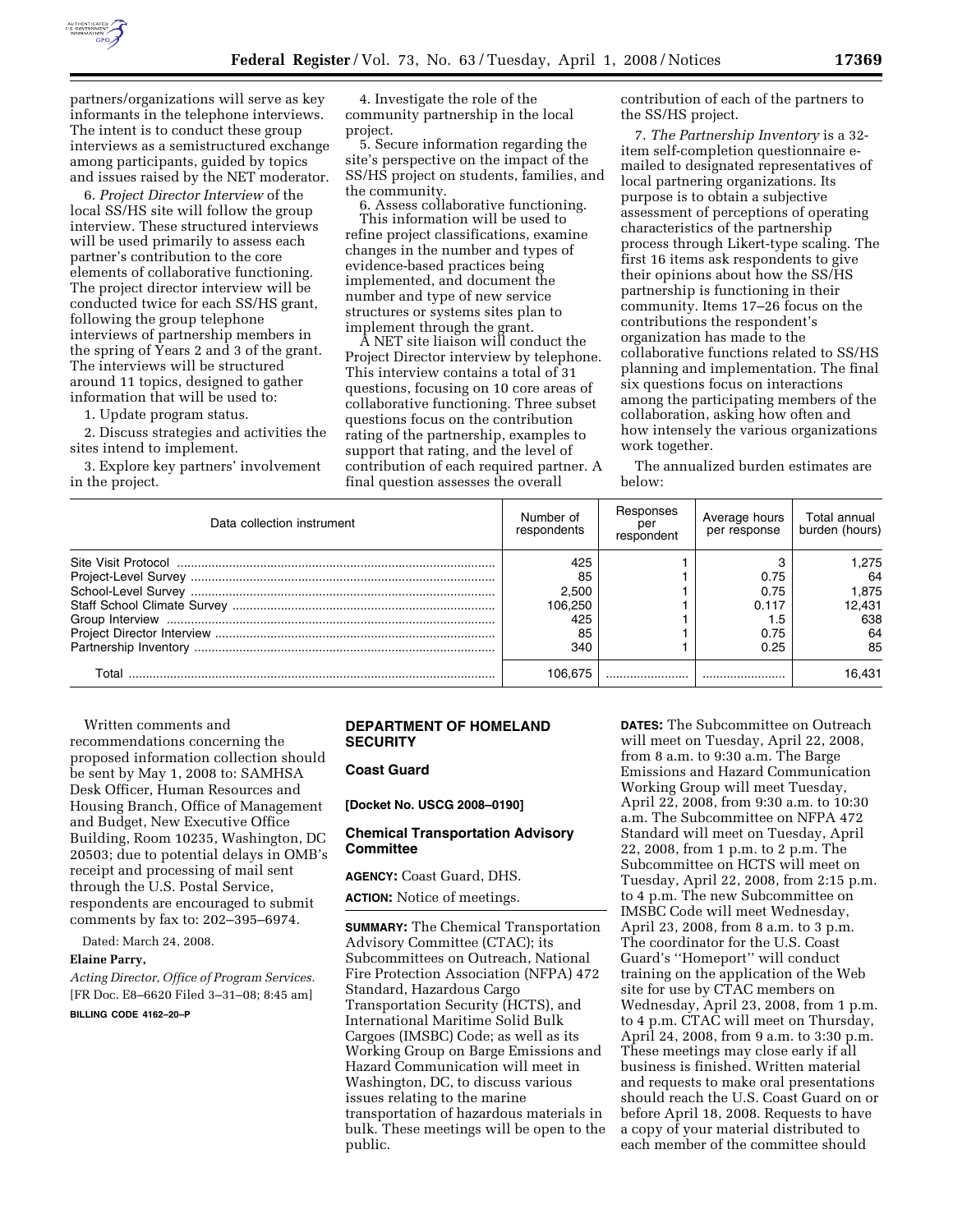

partners/organizations will serve as key informants in the telephone interviews. The intent is to conduct these group interviews as a semistructured exchange among participants, guided by topics and issues raised by the NET moderator.

6. *Project Director Interview* of the local SS/HS site will follow the group interview. These structured interviews will be used primarily to assess each partner's contribution to the core elements of collaborative functioning. The project director interview will be conducted twice for each SS/HS grant, following the group telephone interviews of partnership members in the spring of Years 2 and 3 of the grant. The interviews will be structured around 11 topics, designed to gather information that will be used to:

1. Update program status.

2. Discuss strategies and activities the sites intend to implement.

3. Explore key partners' involvement in the project.

4. Investigate the role of the community partnership in the local project.

5. Secure information regarding the site's perspective on the impact of the SS/HS project on students, families, and the community.

6. Assess collaborative functioning. This information will be used to refine project classifications, examine changes in the number and types of evidence-based practices being implemented, and document the number and type of new service structures or systems sites plan to implement through the grant.

A NET site liaison will conduct the Project Director interview by telephone. This interview contains a total of 31 questions, focusing on 10 core areas of collaborative functioning. Three subset questions focus on the contribution rating of the partnership, examples to support that rating, and the level of contribution of each required partner. A final question assesses the overall

contribution of each of the partners to the SS/HS project.

7. *The Partnership Inventory* is a 32 item self-completion questionnaire emailed to designated representatives of local partnering organizations. Its purpose is to obtain a subjective assessment of perceptions of operating characteristics of the partnership process through Likert-type scaling. The first 16 items ask respondents to give their opinions about how the SS/HS partnership is functioning in their community. Items 17–26 focus on the contributions the respondent's organization has made to the collaborative functions related to SS/HS planning and implementation. The final six questions focus on interactions among the participating members of the collaboration, asking how often and how intensely the various organizations work together.

The annualized burden estimates are below:

| Data collection instrument | Number of<br>respondents | Responses<br>per<br>respondent | Average hours<br>per response | Total annual<br>burden (hours) |
|----------------------------|--------------------------|--------------------------------|-------------------------------|--------------------------------|
|                            | 425                      |                                |                               | l.275                          |
|                            | 85                       |                                | 0.75                          | 64                             |
|                            | 2.500                    |                                | 0.75                          | 1.875                          |
|                            | 106.250                  |                                | 0.117                         | 12.431                         |
|                            | 425                      |                                |                               | 638                            |
|                            | 85                       |                                | 0.75                          | 64                             |
|                            | 340                      |                                | 0.25                          | 85                             |
| Total                      | 106.675                  |                                |                               | 16.431                         |

Written comments and recommendations concerning the proposed information collection should be sent by May 1, 2008 to: SAMHSA Desk Officer, Human Resources and Housing Branch, Office of Management and Budget, New Executive Office Building, Room 10235, Washington, DC 20503; due to potential delays in OMB's receipt and processing of mail sent through the U.S. Postal Service, respondents are encouraged to submit comments by fax to: 202–395–6974.

Dated: March 24, 2008.

#### **Elaine Parry,**

*Acting Director, Office of Program Services.*  [FR Doc. E8–6620 Filed 3–31–08; 8:45 am] **BILLING CODE 4162–20–P** 

## **DEPARTMENT OF HOMELAND SECURITY**

### **Coast Guard**

**[Docket No. USCG 2008–0190]** 

## **Chemical Transportation Advisory Committee**

**AGENCY:** Coast Guard, DHS.

**ACTION:** Notice of meetings.

**SUMMARY:** The Chemical Transportation Advisory Committee (CTAC); its Subcommittees on Outreach, National Fire Protection Association (NFPA) 472 Standard, Hazardous Cargo Transportation Security (HCTS), and International Maritime Solid Bulk Cargoes (IMSBC) Code; as well as its Working Group on Barge Emissions and Hazard Communication will meet in Washington, DC, to discuss various issues relating to the marine transportation of hazardous materials in bulk. These meetings will be open to the public.

**DATES:** The Subcommittee on Outreach will meet on Tuesday, April 22, 2008, from 8 a.m. to 9:30 a.m. The Barge Emissions and Hazard Communication Working Group will meet Tuesday, April 22, 2008, from 9:30 a.m. to 10:30 a.m. The Subcommittee on NFPA 472 Standard will meet on Tuesday, April 22, 2008, from 1 p.m. to 2 p.m. The Subcommittee on HCTS will meet on Tuesday, April 22, 2008, from 2:15 p.m. to 4 p.m. The new Subcommittee on IMSBC Code will meet Wednesday, April 23, 2008, from 8 a.m. to 3 p.m. The coordinator for the U.S. Coast Guard's ''Homeport'' will conduct training on the application of the Web site for use by CTAC members on Wednesday, April 23, 2008, from 1 p.m. to 4 p.m. CTAC will meet on Thursday, April 24, 2008, from 9 a.m. to 3:30 p.m. These meetings may close early if all business is finished. Written material and requests to make oral presentations should reach the U.S. Coast Guard on or before April 18, 2008. Requests to have a copy of your material distributed to each member of the committee should